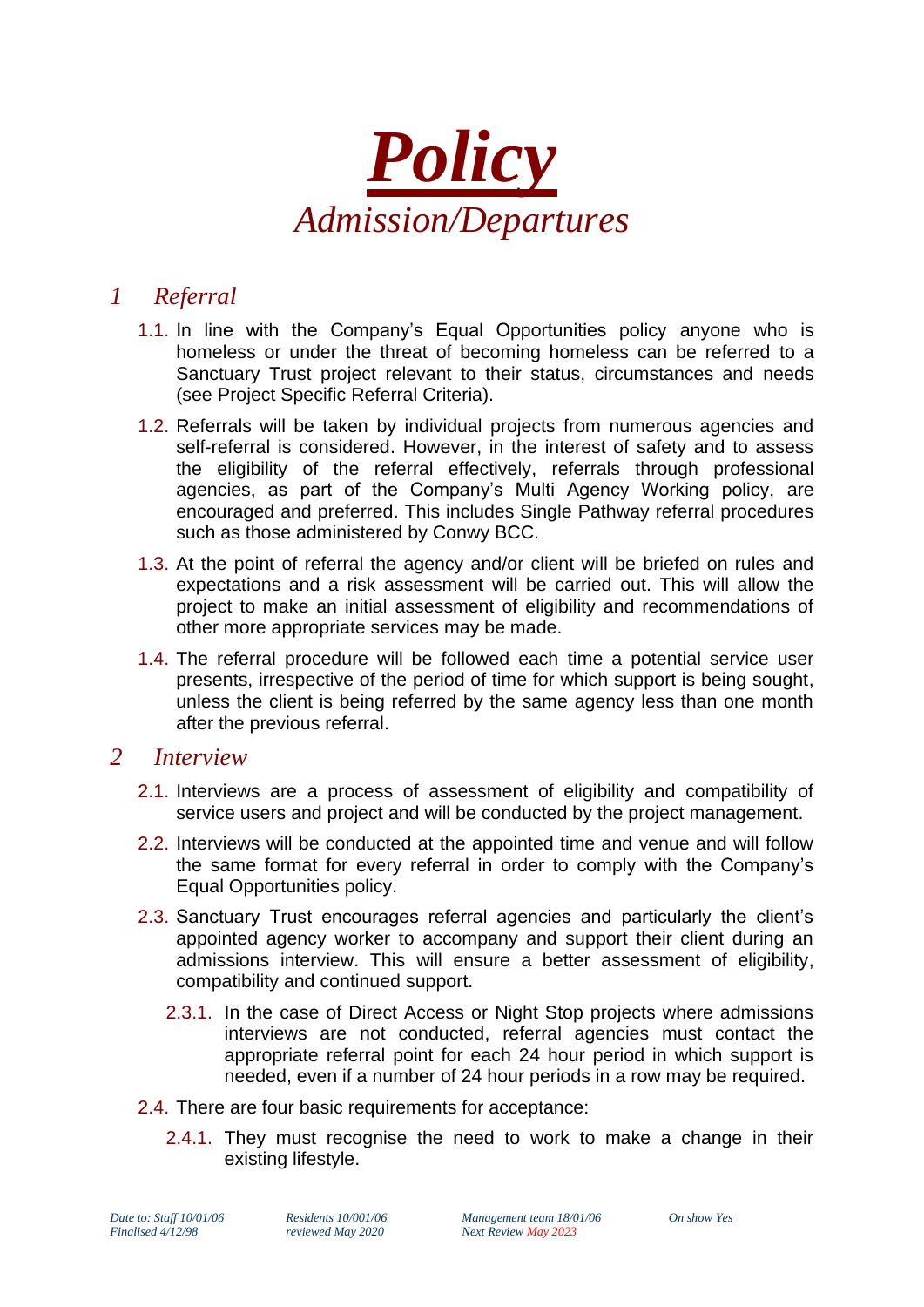

## *1 Referral*

- 1.1. In line with the Company's Equal Opportunities policy anyone who is homeless or under the threat of becoming homeless can be referred to a Sanctuary Trust project relevant to their status, circumstances and needs (see Project Specific Referral Criteria).
- 1.2. Referrals will be taken by individual projects from numerous agencies and self-referral is considered. However, in the interest of safety and to assess the eligibility of the referral effectively, referrals through professional agencies, as part of the Company's Multi Agency Working policy, are encouraged and preferred. This includes Single Pathway referral procedures such as those administered by Conwy BCC.
- 1.3. At the point of referral the agency and/or client will be briefed on rules and expectations and a risk assessment will be carried out. This will allow the project to make an initial assessment of eligibility and recommendations of other more appropriate services may be made.
- 1.4. The referral procedure will be followed each time a potential service user presents, irrespective of the period of time for which support is being sought, unless the client is being referred by the same agency less than one month after the previous referral.

## *2 Interview*

- 2.1. Interviews are a process of assessment of eligibility and compatibility of service users and project and will be conducted by the project management.
- 2.2. Interviews will be conducted at the appointed time and venue and will follow the same format for every referral in order to comply with the Company's Equal Opportunities policy.
- 2.3. Sanctuary Trust encourages referral agencies and particularly the client's appointed agency worker to accompany and support their client during an admissions interview. This will ensure a better assessment of eligibility, compatibility and continued support.
	- 2.3.1. In the case of Direct Access or Night Stop projects where admissions interviews are not conducted, referral agencies must contact the appropriate referral point for each 24 hour period in which support is needed, even if a number of 24 hour periods in a row may be required.
- 2.4. There are four basic requirements for acceptance:
	- 2.4.1. They must recognise the need to work to make a change in their existing lifestyle.

*Date to: Staff 10/01/06 Residents 10/001/06 Management team 18/01/06 On show Yes Finalised 4/12/98 reviewed May 2020 Next Review May 2023*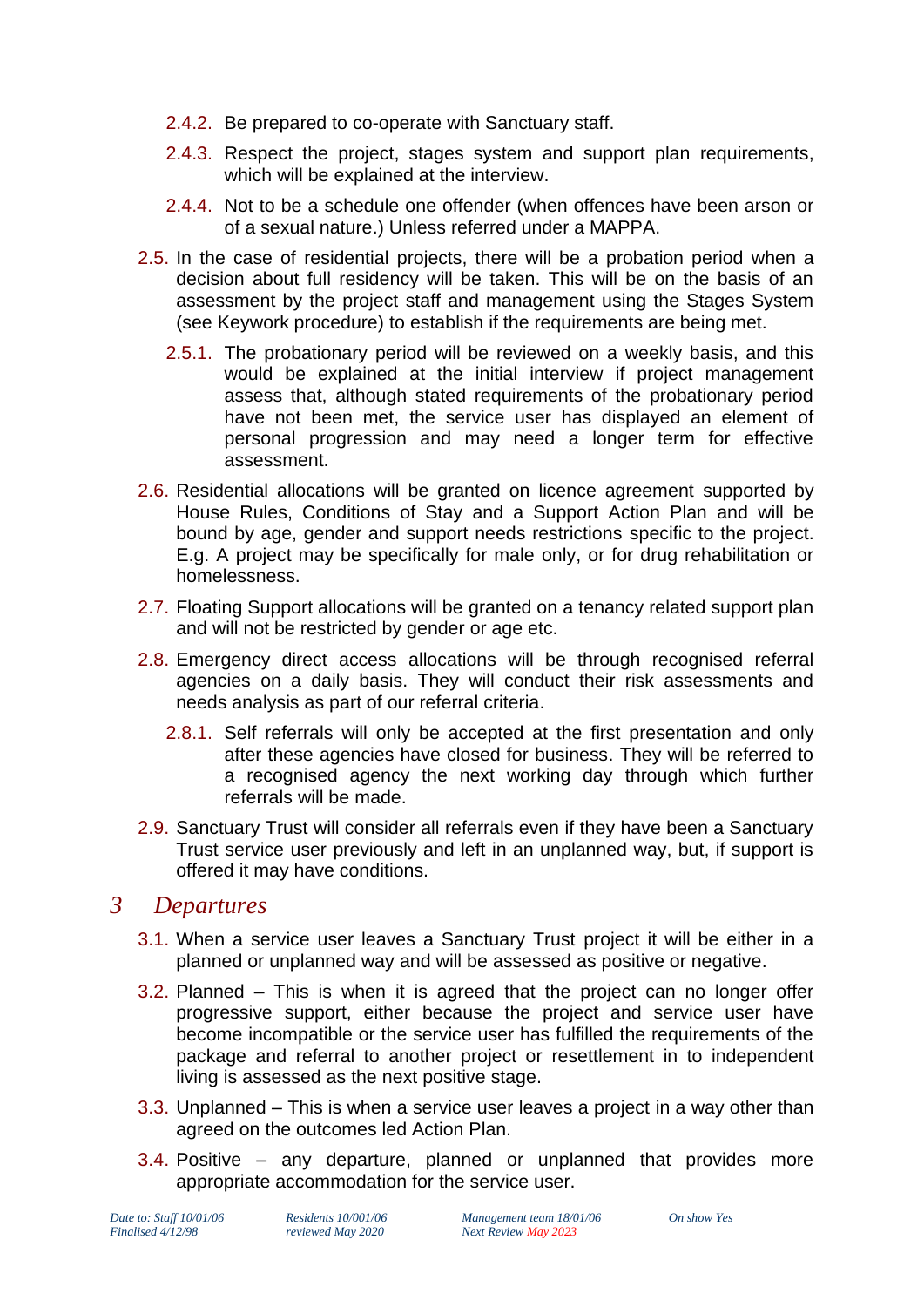- 2.4.2. Be prepared to co-operate with Sanctuary staff.
- 2.4.3. Respect the project, stages system and support plan requirements, which will be explained at the interview.
- 2.4.4. Not to be a schedule one offender (when offences have been arson or of a sexual nature.) Unless referred under a MAPPA.
- 2.5. In the case of residential projects, there will be a probation period when a decision about full residency will be taken. This will be on the basis of an assessment by the project staff and management using the Stages System (see Keywork procedure) to establish if the requirements are being met.
	- 2.5.1. The probationary period will be reviewed on a weekly basis, and this would be explained at the initial interview if project management assess that, although stated requirements of the probationary period have not been met, the service user has displayed an element of personal progression and may need a longer term for effective assessment.
- 2.6. Residential allocations will be granted on licence agreement supported by House Rules, Conditions of Stay and a Support Action Plan and will be bound by age, gender and support needs restrictions specific to the project. E.g. A project may be specifically for male only, or for drug rehabilitation or homelessness.
- 2.7. Floating Support allocations will be granted on a tenancy related support plan and will not be restricted by gender or age etc.
- 2.8. Emergency direct access allocations will be through recognised referral agencies on a daily basis. They will conduct their risk assessments and needs analysis as part of our referral criteria.
	- 2.8.1. Self referrals will only be accepted at the first presentation and only after these agencies have closed for business. They will be referred to a recognised agency the next working day through which further referrals will be made.
- 2.9. Sanctuary Trust will consider all referrals even if they have been a Sanctuary Trust service user previously and left in an unplanned way, but, if support is offered it may have conditions.

## *3 Departures*

- 3.1. When a service user leaves a Sanctuary Trust project it will be either in a planned or unplanned way and will be assessed as positive or negative.
- 3.2. Planned This is when it is agreed that the project can no longer offer progressive support, either because the project and service user have become incompatible or the service user has fulfilled the requirements of the package and referral to another project or resettlement in to independent living is assessed as the next positive stage.
- 3.3. Unplanned This is when a service user leaves a project in a way other than agreed on the outcomes led Action Plan.
- 3.4. Positive any departure, planned or unplanned that provides more appropriate accommodation for the service user.